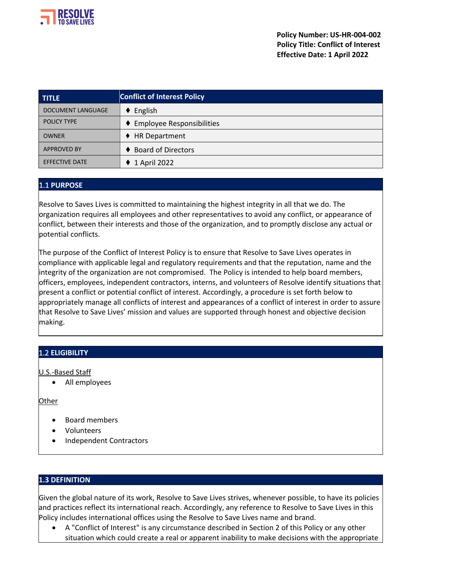

| <b>TITLE</b>             | <b>Conflict of Interest Policy</b>            |  |
|--------------------------|-----------------------------------------------|--|
| <b>DOCUMENT LANGUAGE</b> | English<br>٠                                  |  |
| <b>POLICY TYPE</b>       | <b>Employee Responsibilities</b><br>$\bullet$ |  |
| OWNER                    | <b>HR Department</b>                          |  |
| <b>APPROVED BY</b>       | <b>Board of Directors</b>                     |  |
| <b>EFFECTIVE DATE</b>    | 1 April 2022                                  |  |

# 1.1 **PURPOSE**

Resolve to Saves Lives is committed to maintaining the highest integrity in all that we do. The organization requires all employees and other representatives to avoid any conflict, or appearance of conflict, between their interests and those of the organization, and to promptly disclose any actual or potential conflicts.

The purpose of the Conflict of Interest Policy is to ensure that Resolve to Save Lives operates in compliance with applicable legal and regulatory requirements and that the reputation, name and the integrity of the organization are not compromised. The Policy is intended to help board members, officers, employees, independent contractors, interns, and volunteers of Resolve identify situations that present a conflict or potential conflict of interest. Accordingly, a procedure is set forth below to appropriately manage all conflicts of interest and appearances of a conflict of interest in order to assure that Resolve to Save Lives' mission and values are supported through honest and objective decision making.

# 1.2 **ELIGIBILITY**

U.S.-Based Staff

• All employees

**Other** 

- Board members
- Volunteers
- Independent Contractors

#### **1.3 DEFINITION**

Given the global nature of its work, Resolve to Save Lives strives, whenever possible, to have its policies and practices reflect its international reach. Accordingly, any reference to Resolve to Save Lives in this Policy includes international offices using the Resolve to Save Lives name and brand.

• A "Conflict of Interest" is any circumstance described in Section 2 of this Policy or any other situation which could create a real or apparent inability to make decisions with the appropriate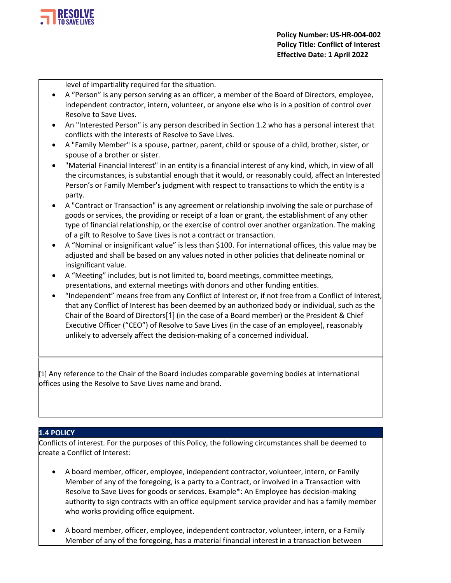

level of impartiality required for the situation.

- A "Person" is any person serving as an officer, a member of the Board of Directors, employee, independent contractor, intern, volunteer, or anyone else who is in a position of control over Resolve to Save Lives.
- An "Interested Person" is any person described in Section 1.2 who has a personal interest that conflicts with the interests of Resolve to Save Lives.
- A "Family Member" is a spouse, partner, parent, child or spouse of a child, brother, sister, or spouse of a brother or sister.
- "Material Financial Interest" in an entity is a financial interest of any kind, which, in view of all the circumstances, is substantial enough that it would, or reasonably could, affect an Interested Person's or Family Member's judgment with respect to transactions to which the entity is a party.
- A "Contract or Transaction" is any agreement or relationship involving the sale or purchase of goods or services, the providing or receipt of a loan or grant, the establishment of any other type of financial relationship, or the exercise of control over another organization. The making of a gift to Resolve to Save Lives is not a contract or transaction.
- A "Nominal or insignificant value" is less than \$100. For international offices, this value may be adjusted and shall be based on any values noted in other policies that delineate nominal or insignificant value.
- A "Meeting" includes, but is not limited to, board meetings, committee meetings, presentations, and external meetings with donors and other funding entities.
- "Independent" means free from any Conflict of Interest or, if not free from a Conflict of Interest, that any Conflict of Interest has been deemed by an authorized body or individual, such as the Chair of the Board of Directors[1] (in the case of a Board member) or the President & Chief Executive Officer ("CEO") of Resolve to Save Lives (in the case of an employee), reasonably unlikely to adversely affect the decision-making of a concerned individual.

[1] Any reference to the Chair of the Board includes comparable governing bodies at international offices using the Resolve to Save Lives name and brand.

# **1.4 POLICY**

Conflicts of interest. For the purposes of this Policy, the following circumstances shall be deemed to create a Conflict of Interest:

- A board member, officer, employee, independent contractor, volunteer, intern, or Family Member of any of the foregoing, is a party to a Contract, or involved in a Transaction with Resolve to Save Lives for goods or services. Example\*: An Employee has decision-making authority to sign contracts with an office equipment service provider and has a family member who works providing office equipment.
- A board member, officer, employee, independent contractor, volunteer, intern, or a Family Member of any of the foregoing, has a material financial interest in a transaction between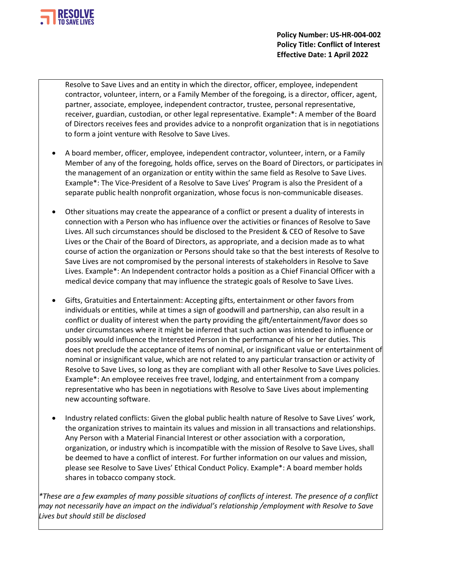

Resolve to Save Lives and an entity in which the director, officer, employee, independent contractor, volunteer, intern, or a Family Member of the foregoing, is a director, officer, agent, partner, associate, employee, independent contractor, trustee, personal representative, receiver, guardian, custodian, or other legal representative. Example\*: A member of the Board of Directors receives fees and provides advice to a nonprofit organization that is in negotiations to form a joint venture with Resolve to Save Lives.

- A board member, officer, employee, independent contractor, volunteer, intern, or a Family Member of any of the foregoing, holds office, serves on the Board of Directors, or participates in the management of an organization or entity within the same field as Resolve to Save Lives. Example\*: The Vice-President of a Resolve to Save Lives' Program is also the President of a separate public health nonprofit organization, whose focus is non-communicable diseases.
- Other situations may create the appearance of a conflict or present a duality of interests in connection with a Person who has influence over the activities or finances of Resolve to Save Lives. All such circumstances should be disclosed to the President & CEO of Resolve to Save Lives or the Chair of the Board of Directors, as appropriate, and a decision made as to what course of action the organization or Persons should take so that the best interests of Resolve to Save Lives are not compromised by the personal interests of stakeholders in Resolve to Save Lives. Example\*: An Independent contractor holds a position as a Chief Financial Officer with a medical device company that may influence the strategic goals of Resolve to Save Lives.
- Gifts, Gratuities and Entertainment: Accepting gifts, entertainment or other favors from individuals or entities, while at times a sign of goodwill and partnership, can also result in a conflict or duality of interest when the party providing the gift/entertainment/favor does so under circumstances where it might be inferred that such action was intended to influence or possibly would influence the Interested Person in the performance of his or her duties. This does not preclude the acceptance of items of nominal, or insignificant value or entertainment of nominal or insignificant value, which are not related to any particular transaction or activity of Resolve to Save Lives, so long as they are compliant with all other Resolve to Save Lives policies. Example\*: An employee receives free travel, lodging, and entertainment from a company representative who has been in negotiations with Resolve to Save Lives about implementing new accounting software.
- Industry related conflicts: Given the global public health nature of Resolve to Save Lives' work, the organization strives to maintain its values and mission in all transactions and relationships. Any Person with a Material Financial Interest or other association with a corporation, organization, or industry which is incompatible with the mission of Resolve to Save Lives, shall be deemed to have a conflict of interest. For further information on our values and mission, please see Resolve to Save Lives' Ethical Conduct Policy. Example\*: A board member holds shares in tobacco company stock.

*\*These are a few examples of many possible situations of conflicts of interest. The presence of a conflict may not necessarily have an impact on the individual's relationship /employment with Resolve to Save Lives but should still be disclosed*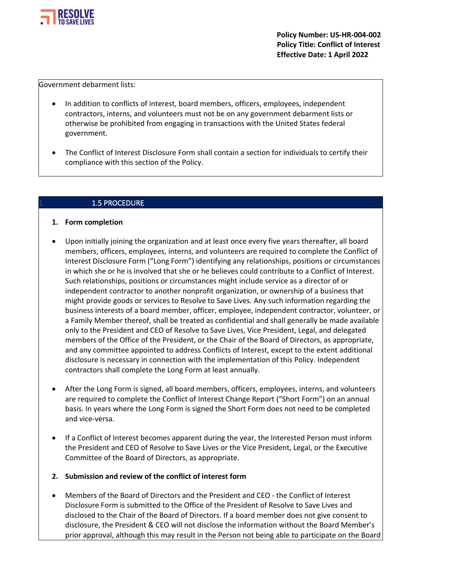

Government debarment lists:

- In addition to conflicts of interest, board members, officers, employees, independent contractors, interns, and volunteers must not be on any government debarment lists or otherwise be prohibited from engaging in transactions with the United States federal government.
- The Conflict of Interest Disclosure Form shall contain a section for individuals to certify their compliance with this section of the Policy.

#### 1.5 PROCEDURE

#### **1. Form completion**

- Upon initially joining the organization and at least once every five years thereafter, all board members, officers, employees, interns, and volunteers are required to complete the Conflict of Interest Disclosure Form ("Long Form") identifying any relationships, positions or circumstances in which she or he is involved that she or he believes could contribute to a Conflict of Interest. Such relationships, positions or circumstances might include service as a director of or independent contractor to another nonprofit organization, or ownership of a business that might provide goods or services to Resolve to Save Lives. Any such information regarding the business interests of a board member, officer, employee, independent contractor, volunteer, or a Family Member thereof, shall be treated as confidential and shall generally be made available only to the President and CEO of Resolve to Save Lives, Vice President, Legal, and delegated members of the Office of the President, or the Chair of the Board of Directors, as appropriate, and any committee appointed to address Conflicts of Interest, except to the extent additional disclosure is necessary in connection with the implementation of this Policy. Independent contractors shall complete the Long Form at least annually.
- After the Long Form is signed, all board members, officers, employees, interns, and volunteers are required to complete the Conflict of Interest Change Report ("Short Form") on an annual basis. In years where the Long Form is signed the Short Form does not need to be completed and vice-versa.
- If a Conflict of Interest becomes apparent during the year, the Interested Person must inform the President and CEO of Resolve to Save Lives or the Vice President, Legal, or the Executive Committee of the Board of Directors, as appropriate.

#### **2. Submission and review of the conflict of interest form**

• Members of the Board of Directors and the President and CEO - the Conflict of Interest Disclosure Form is submitted to the Office of the President of Resolve to Save Lives and disclosed to the Chair of the Board of Directors. If a board member does not give consent to disclosure, the President & CEO will not disclose the information without the Board Member's prior approval, although this may result in the Person not being able to participate on the Board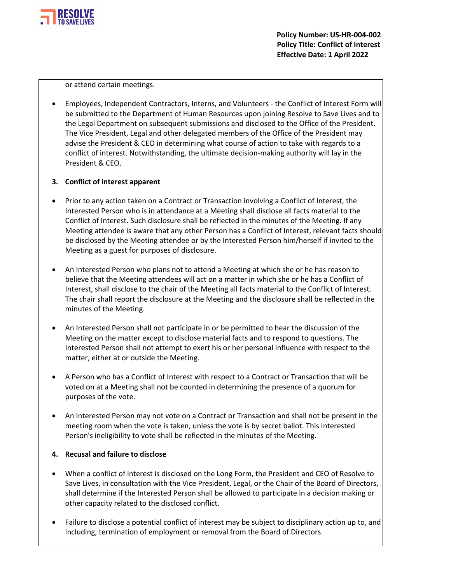

or attend certain meetings.

• Employees, Independent Contractors, Interns, and Volunteers - the Conflict of Interest Form will be submitted to the Department of Human Resources upon joining Resolve to Save Lives and to the Legal Department on subsequent submissions and disclosed to the Office of the President. The Vice President, Legal and other delegated members of the Office of the President may advise the President & CEO in determining what course of action to take with regards to a conflict of interest. Notwithstanding, the ultimate decision-making authority will lay in the President & CEO.

# **3. Conflict of interest apparent**

- Prior to any action taken on a Contract or Transaction involving a Conflict of Interest, the Interested Person who is in attendance at a Meeting shall disclose all facts material to the Conflict of Interest. Such disclosure shall be reflected in the minutes of the Meeting. If any Meeting attendee is aware that any other Person has a Conflict of Interest, relevant facts should be disclosed by the Meeting attendee or by the Interested Person him/herself if invited to the Meeting as a guest for purposes of disclosure.
- An Interested Person who plans not to attend a Meeting at which she or he has reason to believe that the Meeting attendees will act on a matter in which she or he has a Conflict of Interest, shall disclose to the chair of the Meeting all facts material to the Conflict of Interest. The chair shall report the disclosure at the Meeting and the disclosure shall be reflected in the minutes of the Meeting.
- An Interested Person shall not participate in or be permitted to hear the discussion of the Meeting on the matter except to disclose material facts and to respond to questions. The Interested Person shall not attempt to exert his or her personal influence with respect to the matter, either at or outside the Meeting.
- A Person who has a Conflict of Interest with respect to a Contract or Transaction that will be voted on at a Meeting shall not be counted in determining the presence of a quorum for purposes of the vote.
- An Interested Person may not vote on a Contract or Transaction and shall not be present in the meeting room when the vote is taken, unless the vote is by secret ballot. This Interested Person's ineligibility to vote shall be reflected in the minutes of the Meeting.

# **4. Recusal and failure to disclose**

- When a conflict of interest is disclosed on the Long Form, the President and CEO of Resolve to Save Lives, in consultation with the Vice President, Legal, or the Chair of the Board of Directors, shall determine if the Interested Person shall be allowed to participate in a decision making or other capacity related to the disclosed conflict.
- Failure to disclose a potential conflict of interest may be subject to disciplinary action up to, and including, termination of employment or removal from the Board of Directors.